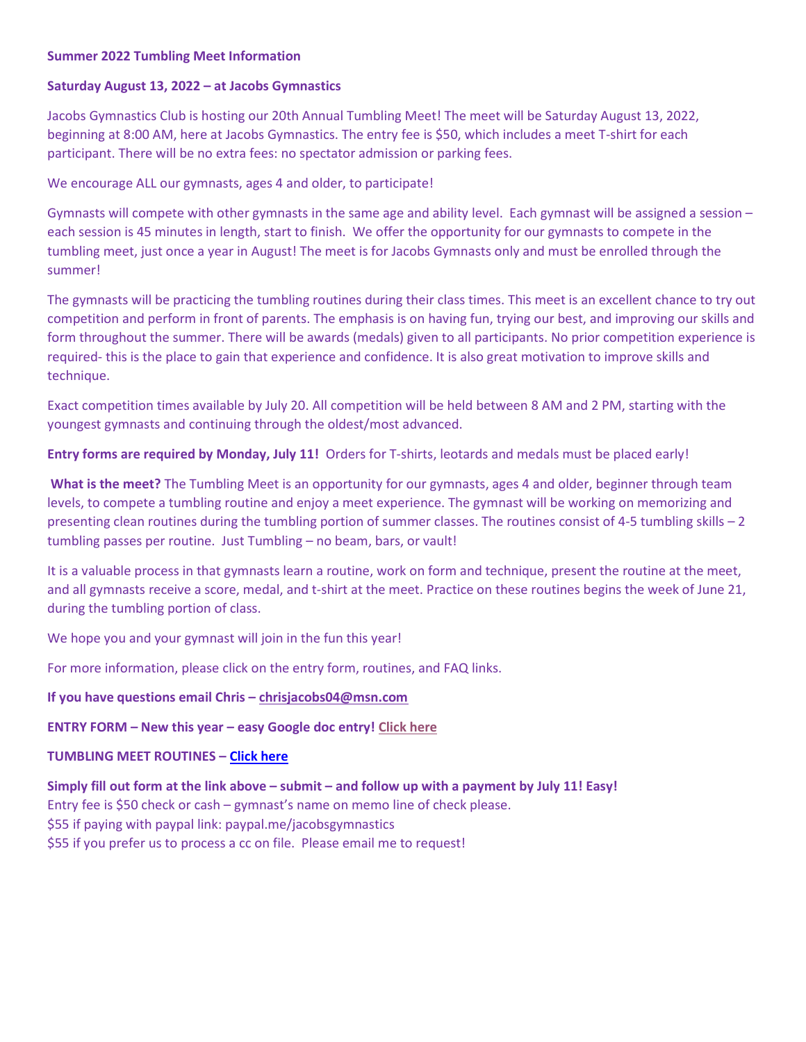#### Summer 2022 Tumbling Meet Information

#### Saturday August 13, 2022 – at Jacobs Gymnastics

Jacobs Gymnastics Club is hosting our 20th Annual Tumbling Meet! The meet will be Saturday August 13, 2022, beginning at 8:00 AM, here at Jacobs Gymnastics. The entry fee is \$50, which includes a meet T-shirt for each participant. There will be no extra fees: no spectator admission or parking fees.

We encourage ALL our gymnasts, ages 4 and older, to participate!

Gymnasts will compete with other gymnasts in the same age and ability level. Each gymnast will be assigned a session – each session is 45 minutes in length, start to finish. We offer the opportunity for our gymnasts to compete in the tumbling meet, just once a year in August! The meet is for Jacobs Gymnasts only and must be enrolled through the summer!

The gymnasts will be practicing the tumbling routines during their class times. This meet is an excellent chance to try out competition and perform in front of parents. The emphasis is on having fun, trying our best, and improving our skills and form throughout the summer. There will be awards (medals) given to all participants. No prior competition experience is required- this is the place to gain that experience and confidence. It is also great motivation to improve skills and technique.

Exact competition times available by July 20. All competition will be held between 8 AM and 2 PM, starting with the youngest gymnasts and continuing through the oldest/most advanced.

Entry forms are required by Monday, July 11! Orders for T-shirts, leotards and medals must be placed early!

What is the meet? The Tumbling Meet is an opportunity for our gymnasts, ages 4 and older, beginner through team levels, to compete a tumbling routine and enjoy a meet experience. The gymnast will be working on memorizing and presenting clean routines during the tumbling portion of summer classes. The routines consist of 4-5 tumbling skills – 2 tumbling passes per routine. Just Tumbling – no beam, bars, or vault!

It is a valuable process in that gymnasts learn a routine, work on form and technique, present the routine at the meet, and all gymnasts receive a score, medal, and t-shirt at the meet. Practice on these routines begins the week of June 21, during the tumbling portion of class.

We hope you and your gymnast will join in the fun this year!

For more information, please click on the entry form, routines, and FAQ links.

# If you have questions email Chris – chrisjacobs04@msn.com

# ENTRY FORM – New this year – easy Google doc entry! Click here

# TUMBLING MEET ROUTINES – Click here

Simply fill out form at the link above – submit – and follow up with a payment by July 11! Easy! Entry fee is \$50 check or cash – gymnast's name on memo line of check please. \$55 if paying with paypal link: paypal.me/jacobsgymnastics \$55 if you prefer us to process a cc on file. Please email me to request!